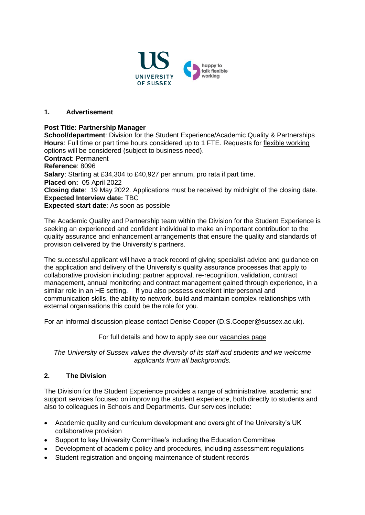

### **1. Advertisement**

#### **Post Title: Partnership Manager**

**School/department**: Division for the Student Experience/Academic Quality & Partnerships **Hours**: Full time or part time hours considered up to 1 FTE. Requests for [flexible working](http://www.sussex.ac.uk/humanresources/personnel/flexible-working) options will be considered (subject to business need).

**Contract**: Permanent **Reference**: 8096 **Salary**: Starting at £34,304 to £40,927 per annum, pro rata if part time. **Placed on:** 05 April 2022 **Closing date**: 19 May 2022. Applications must be received by midnight of the closing date. **Expected Interview date:** TBC **Expected start date**: As soon as possible

The Academic Quality and Partnership team within the Division for the Student Experience is seeking an experienced and confident individual to make an important contribution to the quality assurance and enhancement arrangements that ensure the quality and standards of provision delivered by the University's partners.

The successful applicant will have a track record of giving specialist advice and guidance on the application and delivery of the University's quality assurance processes that apply to collaborative provision including: partner approval, re-recognition, validation, contract management, annual monitoring and contract management gained through experience, in a similar role in an HE setting. If you also possess excellent interpersonal and communication skills, the ability to network, build and maintain complex relationships with external organisations this could be the role for you.

For an informal discussion please contact Denise Cooper (D.S.Cooper@sussex.ac.uk).

For full details and how to apply see our [vacancies page](http://www.sussex.ac.uk/about/jobs)

*The University of Sussex values the diversity of its staff and students and we welcome applicants from all backgrounds.*

### **2. The Division**

The Division for the Student Experience provides a range of administrative, academic and support services focused on improving the student experience, both directly to students and also to colleagues in Schools and Departments. Our services include:

- Academic quality and curriculum development and oversight of the University's UK collaborative provision
- Support to key University Committee's including the Education Committee
- Development of academic policy and procedures, including assessment regulations
- Student registration and ongoing maintenance of student records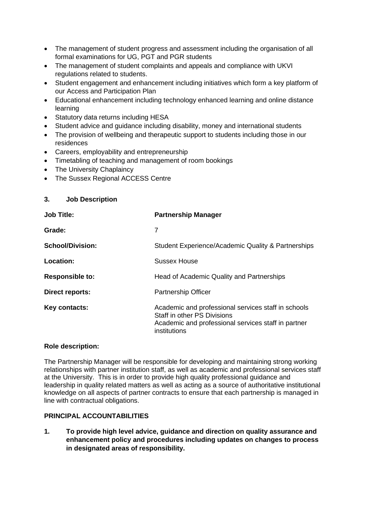- The management of student progress and assessment including the organisation of all formal examinations for UG, PGT and PGR students
- The management of student complaints and appeals and compliance with UKVI regulations related to students.
- Student engagement and enhancement including initiatives which form a key platform of our Access and Participation Plan
- Educational enhancement including technology enhanced learning and online distance learning
- Statutory data returns including HESA
- Student advice and guidance including disability, money and international students
- The provision of wellbeing and therapeutic support to students including those in our residences
- Careers, employability and entrepreneurship
- Timetabling of teaching and management of room bookings
- The University Chaplaincy
- The Sussex Regional ACCESS Centre

### **3. Job Description**

| <b>Job Title:</b>       | <b>Partnership Manager</b>                                                                                                                                |
|-------------------------|-----------------------------------------------------------------------------------------------------------------------------------------------------------|
| Grade:                  | 7                                                                                                                                                         |
| <b>School/Division:</b> | Student Experience/Academic Quality & Partnerships                                                                                                        |
| Location:               | Sussex House                                                                                                                                              |
| <b>Responsible to:</b>  | Head of Academic Quality and Partnerships                                                                                                                 |
| Direct reports:         | <b>Partnership Officer</b>                                                                                                                                |
| Key contacts:           | Academic and professional services staff in schools<br>Staff in other PS Divisions<br>Academic and professional services staff in partner<br>institutions |

### **Role description:**

The Partnership Manager will be responsible for developing and maintaining strong working relationships with partner institution staff, as well as academic and professional services staff at the University. This is in order to provide high quality professional guidance and leadership in quality related matters as well as acting as a source of authoritative institutional knowledge on all aspects of partner contracts to ensure that each partnership is managed in line with contractual obligations.

# **PRINCIPAL ACCOUNTABILITIES**

**1. To provide high level advice, guidance and direction on quality assurance and enhancement policy and procedures including updates on changes to process in designated areas of responsibility.**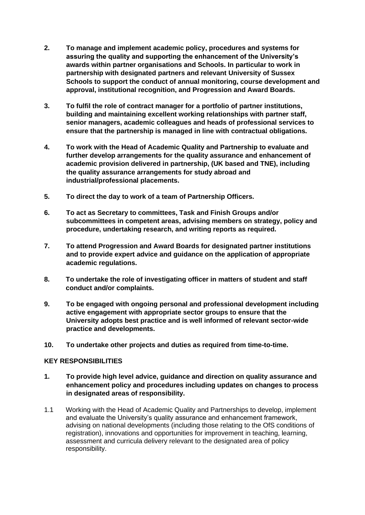- **2. To manage and implement academic policy, procedures and systems for assuring the quality and supporting the enhancement of the University's awards within partner organisations and Schools. In particular to work in partnership with designated partners and relevant University of Sussex Schools to support the conduct of annual monitoring, course development and approval, institutional recognition, and Progression and Award Boards.**
- **3. To fulfil the role of contract manager for a portfolio of partner institutions, building and maintaining excellent working relationships with partner staff, senior managers, academic colleagues and heads of professional services to ensure that the partnership is managed in line with contractual obligations.**
- **4. To work with the Head of Academic Quality and Partnership to evaluate and further develop arrangements for the quality assurance and enhancement of academic provision delivered in partnership, (UK based and TNE), including the quality assurance arrangements for study abroad and industrial/professional placements.**
- **5. To direct the day to work of a team of Partnership Officers.**
- **6. To act as Secretary to committees, Task and Finish Groups and/or subcommittees in competent areas, advising members on strategy, policy and procedure, undertaking research, and writing reports as required.**
- **7. To attend Progression and Award Boards for designated partner institutions and to provide expert advice and guidance on the application of appropriate academic regulations.**
- **8. To undertake the role of investigating officer in matters of student and staff conduct and/or complaints.**
- **9. To be engaged with ongoing personal and professional development including active engagement with appropriate sector groups to ensure that the University adopts best practice and is well informed of relevant sector-wide practice and developments.**
- **10. To undertake other projects and duties as required from time-to-time.**

# **KEY RESPONSIBILITIES**

- **1. To provide high level advice, guidance and direction on quality assurance and enhancement policy and procedures including updates on changes to process in designated areas of responsibility.**
- 1.1 Working with the Head of Academic Quality and Partnerships to develop, implement and evaluate the University's quality assurance and enhancement framework, advising on national developments (including those relating to the OfS conditions of registration), innovations and opportunities for improvement in teaching, learning, assessment and curricula delivery relevant to the designated area of policy responsibility.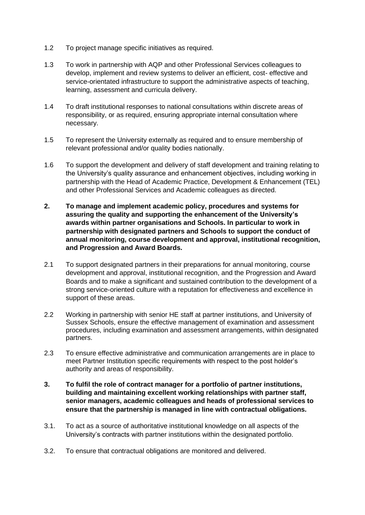- 1.2 To project manage specific initiatives as required.
- 1.3 To work in partnership with AQP and other Professional Services colleagues to develop, implement and review systems to deliver an efficient, cost- effective and service-orientated infrastructure to support the administrative aspects of teaching, learning, assessment and curricula delivery.
- 1.4 To draft institutional responses to national consultations within discrete areas of responsibility, or as required, ensuring appropriate internal consultation where necessary.
- 1.5 To represent the University externally as required and to ensure membership of relevant professional and/or quality bodies nationally.
- 1.6 To support the development and delivery of staff development and training relating to the University's quality assurance and enhancement objectives, including working in partnership with the Head of Academic Practice, Development & Enhancement (TEL) and other Professional Services and Academic colleagues as directed.
- **2. To manage and implement academic policy, procedures and systems for assuring the quality and supporting the enhancement of the University's awards within partner organisations and Schools. In particular to work in partnership with designated partners and Schools to support the conduct of annual monitoring, course development and approval, institutional recognition, and Progression and Award Boards.**
- 2.1 To support designated partners in their preparations for annual monitoring, course development and approval, institutional recognition, and the Progression and Award Boards and to make a significant and sustained contribution to the development of a strong service-oriented culture with a reputation for effectiveness and excellence in support of these areas.
- 2.2 Working in partnership with senior HE staff at partner institutions, and University of Sussex Schools, ensure the effective management of examination and assessment procedures, including examination and assessment arrangements, within designated partners.
- 2.3 To ensure effective administrative and communication arrangements are in place to meet Partner Institution specific requirements with respect to the post holder's authority and areas of responsibility.
- **3. To fulfil the role of contract manager for a portfolio of partner institutions, building and maintaining excellent working relationships with partner staff, senior managers, academic colleagues and heads of professional services to ensure that the partnership is managed in line with contractual obligations.**
- 3.1. To act as a source of authoritative institutional knowledge on all aspects of the University's contracts with partner institutions within the designated portfolio.
- 3.2. To ensure that contractual obligations are monitored and delivered.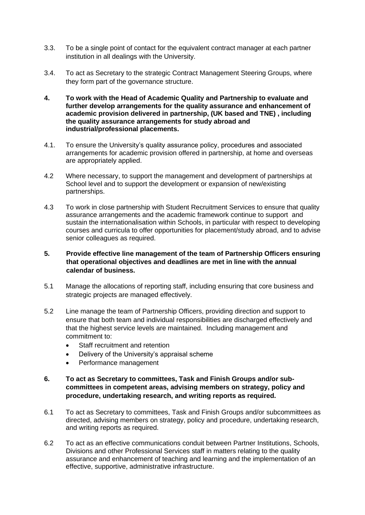- 3.3. To be a single point of contact for the equivalent contract manager at each partner institution in all dealings with the University.
- 3.4. To act as Secretary to the strategic Contract Management Steering Groups, where they form part of the governance structure.
- **4. To work with the Head of Academic Quality and Partnership to evaluate and further develop arrangements for the quality assurance and enhancement of academic provision delivered in partnership, (UK based and TNE) , including the quality assurance arrangements for study abroad and industrial/professional placements.**
- 4.1. To ensure the University's quality assurance policy, procedures and associated arrangements for academic provision offered in partnership, at home and overseas are appropriately applied.
- 4.2 Where necessary, to support the management and development of partnerships at School level and to support the development or expansion of new/existing partnerships.
- 4.3 To work in close partnership with Student Recruitment Services to ensure that quality assurance arrangements and the academic framework continue to support and sustain the internationalisation within Schools, in particular with respect to developing courses and curricula to offer opportunities for placement/study abroad, and to advise senior colleagues as required.
- **5. Provide effective line management of the team of Partnership Officers ensuring that operational objectives and deadlines are met in line with the annual calendar of business.**
- 5.1 Manage the allocations of reporting staff, including ensuring that core business and strategic projects are managed effectively.
- 5.2 Line manage the team of Partnership Officers, providing direction and support to ensure that both team and individual responsibilities are discharged effectively and that the highest service levels are maintained. Including management and commitment to:
	- Staff recruitment and retention
	- Delivery of the University's appraisal scheme
	- Performance management
- **6. To act as Secretary to committees, Task and Finish Groups and/or subcommittees in competent areas, advising members on strategy, policy and procedure, undertaking research, and writing reports as required.**
- 6.1 To act as Secretary to committees, Task and Finish Groups and/or subcommittees as directed, advising members on strategy, policy and procedure, undertaking research, and writing reports as required.
- 6.2 To act as an effective communications conduit between Partner Institutions, Schools, Divisions and other Professional Services staff in matters relating to the quality assurance and enhancement of teaching and learning and the implementation of an effective, supportive, administrative infrastructure.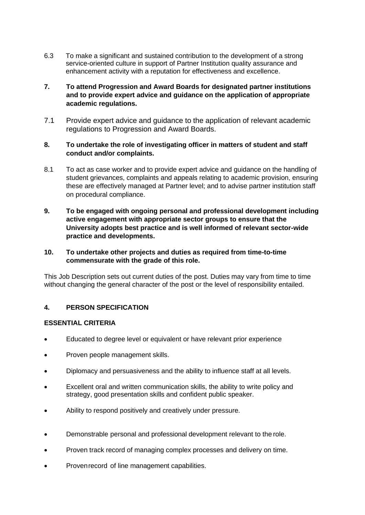- 6.3 To make a significant and sustained contribution to the development of a strong service-oriented culture in support of Partner Institution quality assurance and enhancement activity with a reputation for effectiveness and excellence.
- **7. To attend Progression and Award Boards for designated partner institutions and to provide expert advice and guidance on the application of appropriate academic regulations.**
- 7.1 Provide expert advice and guidance to the application of relevant academic regulations to Progression and Award Boards.

## **8. To undertake the role of investigating officer in matters of student and staff conduct and/or complaints.**

- 8.1 To act as case worker and to provide expert advice and guidance on the handling of student grievances, complaints and appeals relating to academic provision, ensuring these are effectively managed at Partner level; and to advise partner institution staff on procedural compliance.
- **9. To be engaged with ongoing personal and professional development including active engagement with appropriate sector groups to ensure that the University adopts best practice and is well informed of relevant sector-wide practice and developments.**

## **10. To undertake other projects and duties as required from time-to-time commensurate with the grade of this role.**

This Job Description sets out current duties of the post. Duties may vary from time to time without changing the general character of the post or the level of responsibility entailed.

# **4. PERSON SPECIFICATION**

### **ESSENTIAL CRITERIA**

- Educated to degree level or equivalent or have relevant prior experience
- Proven people management skills.
- Diplomacy and persuasiveness and the ability to influence staff at all levels.
- Excellent oral and written communication skills, the ability to write policy and strategy, good presentation skills and confident public speaker.
- Ability to respond positively and creatively under pressure.
- Demonstrable personal and professional development relevant to the role.
- Proven track record of managing complex processes and delivery on time.
- Provenrecord of line management capabilities.